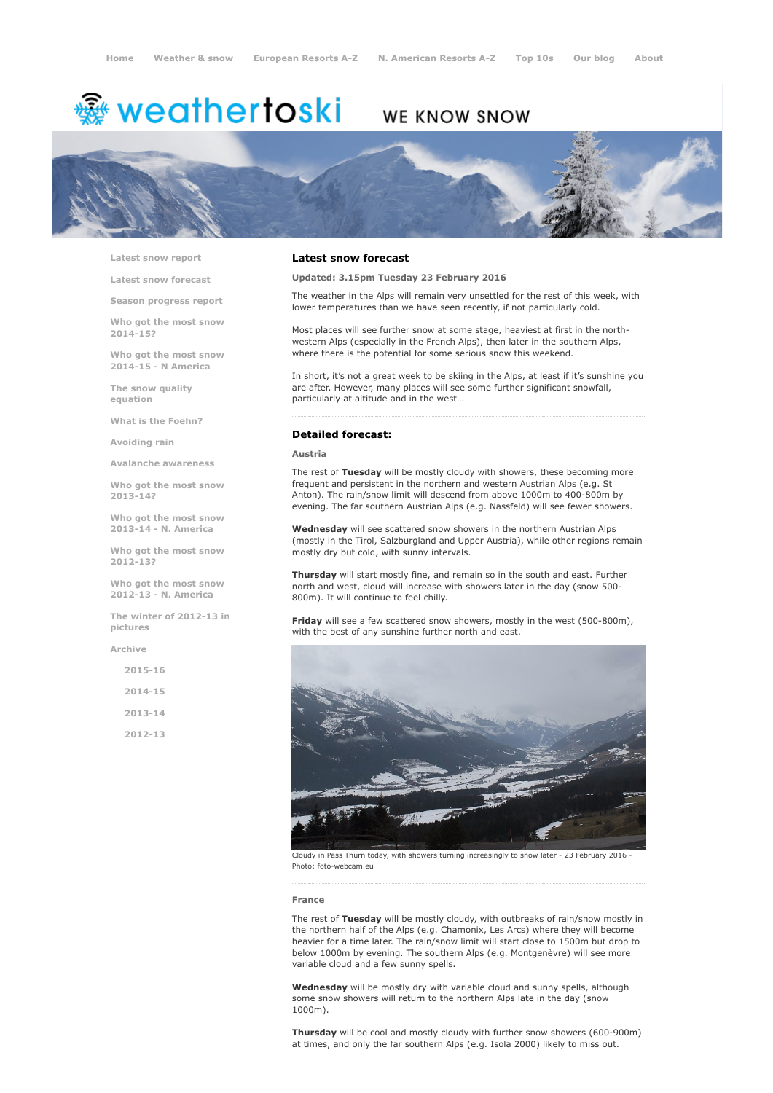# <sup>鑫</sup> weathertoski

# WE KNOW SNOW



Latest snow [report](http://www.weathertoski.co.uk/weather-snow/latest-snow-report/)

Latest snow [forecast](http://www.weathertoski.co.uk/weather-snow/latest-snow-forecast/)

Season [progress](http://www.weathertoski.co.uk/weather-snow/season-progress-report/) report

Who got the most snow 2014-15?

Who got the most snow 2014-15 - N America

The snow quality [equation](http://www.weathertoski.co.uk/weather-snow/the-snow-quality-equation/)

What is the [Foehn?](http://www.weathertoski.co.uk/weather-snow/what-is-the-foehn/)

[Avoiding](http://www.weathertoski.co.uk/weather-snow/avoiding-rain/) rain

Avalanche [awareness](http://www.weathertoski.co.uk/weather-snow/avalanche-awareness/)

Who got the most snow 2013-14?

Who got the most snow 2013-14 - N. America

Who got the most snow 2012-13?

Who got the most snow 2012-13 - N. America

The winter of 2012-13 in pictures

[Archive](http://www.weathertoski.co.uk/weather-snow/archive/)

2015-16 2014-15 2013-14 2012-13

### Latest snow forecast

Updated: 3.15pm Tuesday 23 February 2016

The weather in the Alps will remain very unsettled for the rest of this week, with lower temperatures than we have seen recently, if not particularly cold.

Most places will see further snow at some stage, heaviest at first in the northwestern Alps (especially in the French Alps), then later in the southern Alps, where there is the potential for some serious snow this weekend.

In short, it's not a great week to be skiing in the Alps, at least if it's sunshine you are after. However, many places will see some further significant snowfall, particularly at altitude and in the west…

# Detailed forecast:

#### Austria

The rest of Tuesday will be mostly cloudy with showers, these becoming more frequent and persistent in the northern and western Austrian Alps (e.g. St Anton). The rain/snow limit will descend from above 1000m to 400-800m by evening. The far southern Austrian Alps (e.g. Nassfeld) will see fewer showers.

Wednesday will see scattered snow showers in the northern Austrian Alps (mostly in the Tirol, Salzburgland and Upper Austria), while other regions remain mostly dry but cold, with sunny intervals.

Thursday will start mostly fine, and remain so in the south and east. Further north and west, cloud will increase with showers later in the day (snow 500 800m). It will continue to feel chilly.

Friday will see a few scattered snow showers, mostly in the west (500-800m), with the best of any sunshine further north and east.



Cloudy in Pass Thurn today, with showers turning increasingly to snow later 23 February 2016 Photo: foto-webcam.eu

## France

The rest of Tuesday will be mostly cloudy, with outbreaks of rain/snow mostly in the northern half of the Alps (e.g. Chamonix, Les Arcs) where they will become heavier for a time later. The rain/snow limit will start close to 1500m but drop to below 1000m by evening. The southern Alps (e.g. Montgenèvre) will see more variable cloud and a few sunny spells.

Wednesday will be mostly dry with variable cloud and sunny spells, although some snow showers will return to the northern Alps late in the day (snow 1000m).

Thursday will be cool and mostly cloudy with further snow showers (600-900m) at times, and only the far southern Alps (e.g. Isola 2000) likely to miss out.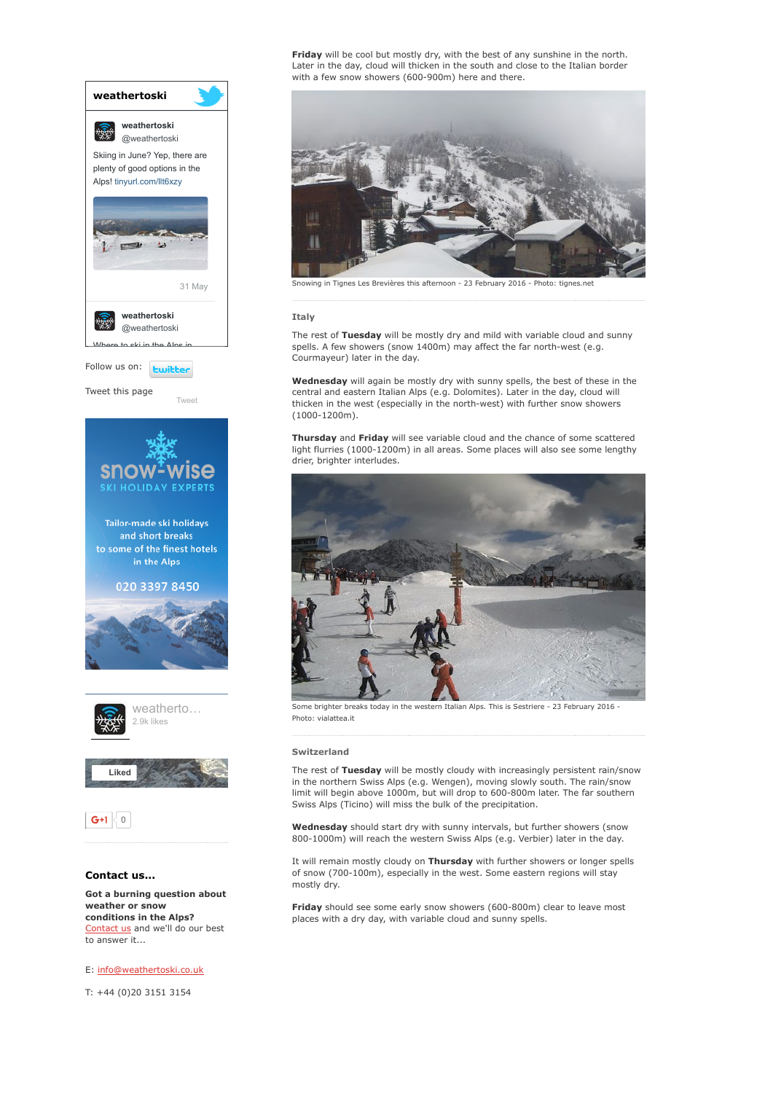

conditions in the Alps? [Contact](http://www.weathertoski.co.uk/about-1/contact-us/) us and we'll do our best to answer it...

E: [info@weathertoski.co.uk](mailto:fraser@weathertoski.co.uk)

T: +44 (0)20 3151 3154

Friday will be cool but mostly dry, with the best of any sunshine in the north. Later in the day, cloud will thicken in the south and close to the Italian border with a few snow showers (600-900m) here and there.



Snowing in Tignes Les Brevières this afternoon - 23 February 2016 - Photo: tignes.net

# **Italy**

The rest of Tuesday will be mostly dry and mild with variable cloud and sunny spells. A few showers (snow 1400m) may affect the far north-west (e.g. Courmayeur) later in the day.

Wednesday will again be mostly dry with sunny spells, the best of these in the central and eastern Italian Alps (e.g. Dolomites). Later in the day, cloud will thicken in the west (especially in the north-west) with further snow showers  $(1000-1200m)$ .

Thursday and Friday will see variable cloud and the chance of some scattered light flurries (1000-1200m) in all areas. Some places will also see some lengthy drier, brighter interludes.



ome brighter breaks today in the western Italian Alps. This is Sestriere - 23 February 2016 Photo: vialattea.it

#### Switzerland

The rest of Tuesday will be mostly cloudy with increasingly persistent rain/snow in the northern Swiss Alps (e.g. Wengen), moving slowly south. The rain/snow limit will begin above 1000m, but will drop to 600-800m later. The far southern Swiss Alps (Ticino) will miss the bulk of the precipitation.

Wednesday should start dry with sunny intervals, but further showers (snow 800-1000m) will reach the western Swiss Alps (e.g. Verbier) later in the day.

It will remain mostly cloudy on Thursday with further showers or longer spells of snow (700-100m), especially in the west. Some eastern regions will stay mostly dry.

Friday should see some early snow showers (600-800m) clear to leave most places with a dry day, with variable cloud and sunny spells.